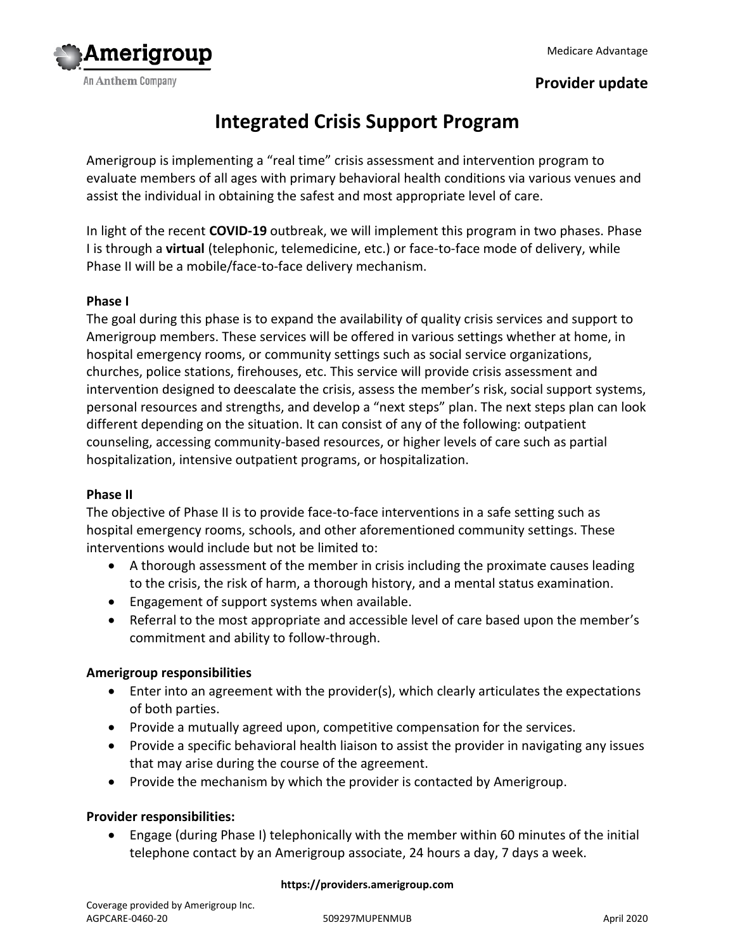

# **Provider update**

# **Integrated Crisis Support Program**

Amerigroup is implementing a "real time" crisis assessment and intervention program to evaluate members of all ages with primary behavioral health conditions via various venues and assist the individual in obtaining the safest and most appropriate level of care.

In light of the recent **COVID-19** outbreak, we will implement this program in two phases. Phase I is through a **virtual** (telephonic, telemedicine, etc.) or face-to-face mode of delivery, while Phase II will be a mobile/face-to-face delivery mechanism.

# **Phase I**

The goal during this phase is to expand the availability of quality crisis services and support to Amerigroup members. These services will be offered in various settings whether at home, in hospital emergency rooms, or community settings such as social service organizations, churches, police stations, firehouses, etc. This service will provide crisis assessment and intervention designed to deescalate the crisis, assess the member's risk, social support systems, personal resources and strengths, and develop a "next steps" plan. The next steps plan can look different depending on the situation. It can consist of any of the following: outpatient counseling, accessing community-based resources, or higher levels of care such as partial hospitalization, intensive outpatient programs, or hospitalization.

### **Phase II**

The objective of Phase II is to provide face-to-face interventions in a safe setting such as hospital emergency rooms, schools, and other aforementioned community settings. These interventions would include but not be limited to:

- A thorough assessment of the member in crisis including the proximate causes leading to the crisis, the risk of harm, a thorough history, and a mental status examination.
- Engagement of support systems when available.
- Referral to the most appropriate and accessible level of care based upon the member's commitment and ability to follow-through.

# **Amerigroup responsibilities**

- Enter into an agreement with the provider(s), which clearly articulates the expectations of both parties.
- Provide a mutually agreed upon, competitive compensation for the services.
- Provide a specific behavioral health liaison to assist the provider in navigating any issues that may arise during the course of the agreement.
- Provide the mechanism by which the provider is contacted by Amerigroup.

### **Provider responsibilities:**

 Engage (during Phase I) telephonically with the member within 60 minutes of the initial telephone contact by an Amerigroup associate, 24 hours a day, 7 days a week.

#### **https://providers.amerigroup.com**